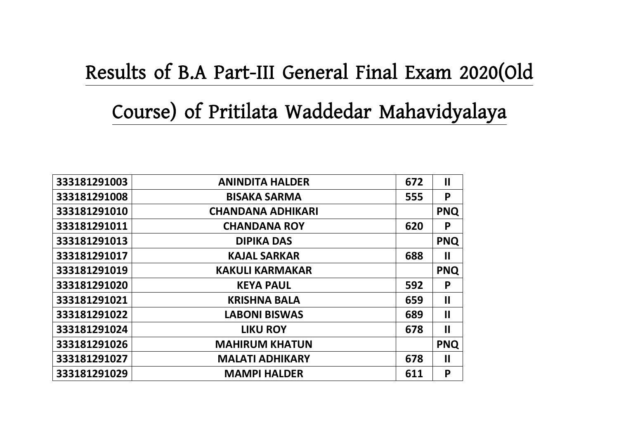## **Results of B.A Part-III General Final Exam 2020(Old**

## **Course) of Pritilata Waddedar Mahavidyalaya**

| 333181291003 | <b>ANINDITA HALDER</b>   | 672 | $\mathbf{I}$          |
|--------------|--------------------------|-----|-----------------------|
| 333181291008 | <b>BISAKA SARMA</b>      | 555 | P                     |
| 333181291010 | <b>CHANDANA ADHIKARI</b> |     | <b>PNQ</b>            |
| 333181291011 | <b>CHANDANA ROY</b>      | 620 | P                     |
| 333181291013 | <b>DIPIKA DAS</b>        |     | <b>PNQ</b>            |
| 333181291017 | <b>KAJAL SARKAR</b>      | 688 | $\mathbf{\mathsf{I}}$ |
| 333181291019 | <b>KAKULI KARMAKAR</b>   |     | <b>PNQ</b>            |
| 333181291020 | <b>KEYA PAUL</b>         | 592 | P                     |
| 333181291021 | <b>KRISHNA BALA</b>      | 659 | $\mathbf{I}$          |
| 333181291022 | <b>LABONI BISWAS</b>     | 689 | $\mathbf{I}$          |
| 333181291024 | <b>LIKU ROY</b>          | 678 | $\mathbf{I}$          |
| 333181291026 | <b>MAHIRUM KHATUN</b>    |     | <b>PNQ</b>            |
| 333181291027 | <b>MALATI ADHIKARY</b>   | 678 | $\mathbf{I}$          |
| 333181291029 | <b>MAMPI HALDER</b>      | 611 | P                     |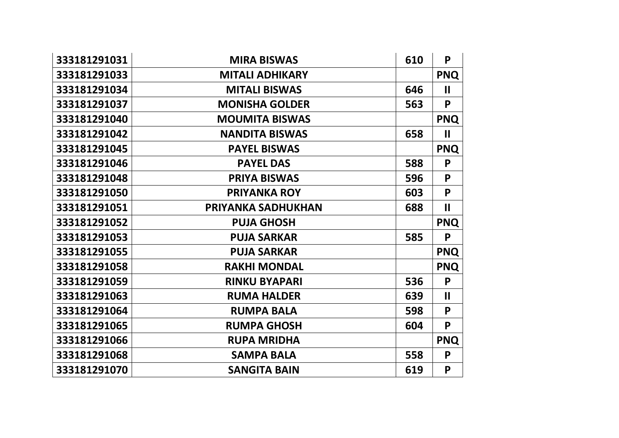| 333181291031 | <b>MIRA BISWAS</b>     | 610 | P                     |
|--------------|------------------------|-----|-----------------------|
| 333181291033 | <b>MITALI ADHIKARY</b> |     | <b>PNQ</b>            |
| 333181291034 | <b>MITALI BISWAS</b>   | 646 | $\mathbf{II}$         |
| 333181291037 | <b>MONISHA GOLDER</b>  | 563 | P                     |
| 333181291040 | <b>MOUMITA BISWAS</b>  |     | <b>PNQ</b>            |
| 333181291042 | <b>NANDITA BISWAS</b>  | 658 | $\mathbf{II}$         |
| 333181291045 | <b>PAYEL BISWAS</b>    |     | <b>PNQ</b>            |
| 333181291046 | <b>PAYEL DAS</b>       | 588 | P                     |
| 333181291048 | <b>PRIYA BISWAS</b>    | 596 | P                     |
| 333181291050 | <b>PRIYANKA ROY</b>    | 603 | P                     |
| 333181291051 | PRIYANKA SADHUKHAN     | 688 | $\mathbf{II}$         |
|              |                        |     |                       |
| 333181291052 | <b>PUJA GHOSH</b>      |     | <b>PNQ</b>            |
| 333181291053 | <b>PUJA SARKAR</b>     | 585 | P                     |
| 333181291055 | <b>PUJA SARKAR</b>     |     | <b>PNQ</b>            |
| 333181291058 | <b>RAKHI MONDAL</b>    |     | <b>PNQ</b>            |
| 333181291059 | <b>RINKU BYAPARI</b>   | 536 | P                     |
| 333181291063 | <b>RUMA HALDER</b>     | 639 | $\mathbf{\mathbf{I}}$ |
| 333181291064 | <b>RUMPA BALA</b>      | 598 | P                     |
| 333181291065 | <b>RUMPA GHOSH</b>     | 604 | P                     |
| 333181291066 | <b>RUPA MRIDHA</b>     |     | <b>PNQ</b>            |
| 333181291068 | <b>SAMPA BALA</b>      | 558 | P                     |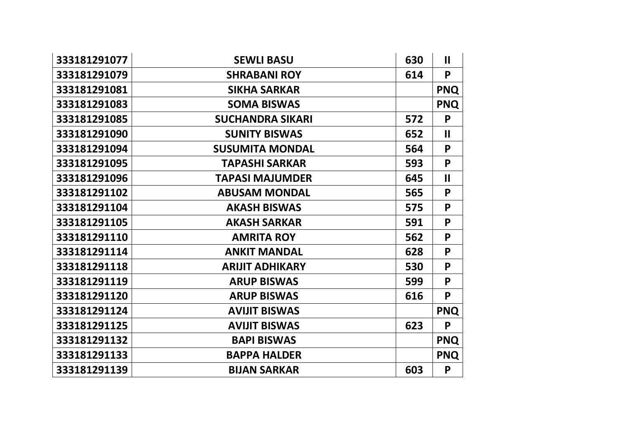| 333181291077 | <b>SEWLI BASU</b>       | 630 | $\mathbf{II}$ |
|--------------|-------------------------|-----|---------------|
| 333181291079 | <b>SHRABANI ROY</b>     | 614 | P             |
| 333181291081 | <b>SIKHA SARKAR</b>     |     | <b>PNQ</b>    |
| 333181291083 | <b>SOMA BISWAS</b>      |     | <b>PNQ</b>    |
| 333181291085 | <b>SUCHANDRA SIKARI</b> | 572 | P             |
| 333181291090 | <b>SUNITY BISWAS</b>    | 652 | $\mathbf{II}$ |
| 333181291094 | <b>SUSUMITA MONDAL</b>  | 564 | P             |
| 333181291095 | <b>TAPASHI SARKAR</b>   | 593 | P             |
| 333181291096 | <b>TAPASI MAJUMDER</b>  | 645 | $\mathbf{I}$  |
| 333181291102 | <b>ABUSAM MONDAL</b>    | 565 | P             |
| 333181291104 | <b>AKASH BISWAS</b>     | 575 | P             |
| 333181291105 | <b>AKASH SARKAR</b>     | 591 | P             |
| 333181291110 | <b>AMRITA ROY</b>       | 562 | P             |
| 333181291114 | <b>ANKIT MANDAL</b>     | 628 | P             |
| 333181291118 | <b>ARIJIT ADHIKARY</b>  | 530 | P             |
| 333181291119 | <b>ARUP BISWAS</b>      | 599 | P             |
| 333181291120 | <b>ARUP BISWAS</b>      | 616 | P             |
| 333181291124 | <b>AVIJIT BISWAS</b>    |     | <b>PNQ</b>    |
| 333181291125 | <b>AVIJIT BISWAS</b>    | 623 | P             |
| 333181291132 | <b>BAPI BISWAS</b>      |     | <b>PNQ</b>    |
| 333181291133 | <b>BAPPA HALDER</b>     |     | <b>PNQ</b>    |
| 333181291139 | <b>BIJAN SARKAR</b>     | 603 | P             |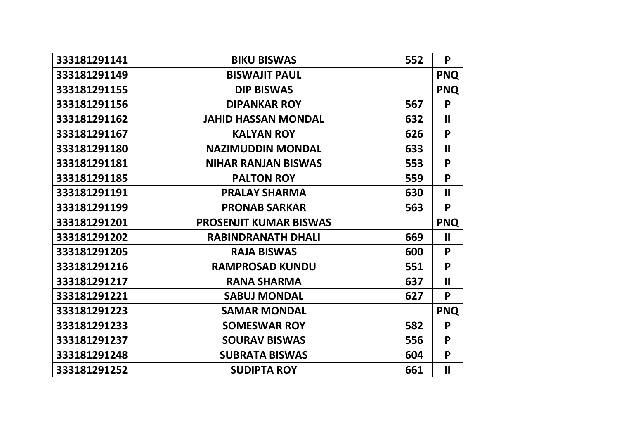| 333181291141 | <b>BIKU BISWAS</b>            | 552 | P             |
|--------------|-------------------------------|-----|---------------|
| 333181291149 | <b>BISWAJIT PAUL</b>          |     | <b>PNQ</b>    |
| 333181291155 | <b>DIP BISWAS</b>             |     | <b>PNQ</b>    |
| 333181291156 | <b>DIPANKAR ROY</b>           | 567 | P             |
| 333181291162 | <b>JAHID HASSAN MONDAL</b>    | 632 | $\mathbf{II}$ |
| 333181291167 | <b>KALYAN ROY</b>             | 626 | P             |
| 333181291180 | <b>NAZIMUDDIN MONDAL</b>      | 633 | $\mathbf{I}$  |
| 333181291181 | <b>NIHAR RANJAN BISWAS</b>    | 553 | P             |
| 333181291185 | <b>PALTON ROY</b>             | 559 | P             |
| 333181291191 | <b>PRALAY SHARMA</b>          | 630 | $\mathbf{II}$ |
| 333181291199 | <b>PRONAB SARKAR</b>          | 563 | P             |
|              |                               |     |               |
| 333181291201 | <b>PROSENJIT KUMAR BISWAS</b> |     | <b>PNQ</b>    |
| 333181291202 | <b>RABINDRANATH DHALI</b>     | 669 | $\mathbf{II}$ |
| 333181291205 | <b>RAJA BISWAS</b>            | 600 | P             |
| 333181291216 | <b>RAMPROSAD KUNDU</b>        | 551 | P             |
| 333181291217 | <b>RANA SHARMA</b>            | 637 | $\mathbf{I}$  |
| 333181291221 | <b>SABUJ MONDAL</b>           | 627 | P             |
| 333181291223 | <b>SAMAR MONDAL</b>           |     | <b>PNQ</b>    |
| 333181291233 | <b>SOMESWAR ROY</b>           | 582 | P             |
| 333181291237 | <b>SOURAV BISWAS</b>          | 556 | P             |
| 333181291248 | <b>SUBRATA BISWAS</b>         | 604 | P             |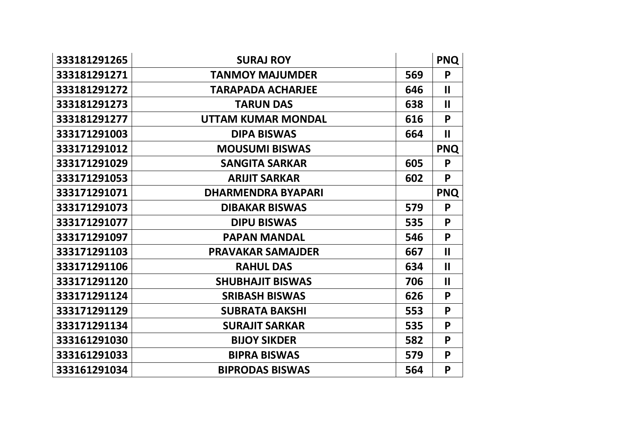| 333181291265 | <b>SURAJ ROY</b>          |     | <b>PNQ</b>            |
|--------------|---------------------------|-----|-----------------------|
| 333181291271 | <b>TANMOY MAJUMDER</b>    | 569 | P                     |
| 333181291272 | <b>TARAPADA ACHARJEE</b>  | 646 | $\mathbf{\mathsf{I}}$ |
| 333181291273 | <b>TARUN DAS</b>          | 638 | $\mathbf{II}$         |
| 333181291277 | <b>UTTAM KUMAR MONDAL</b> | 616 | P                     |
| 333171291003 | <b>DIPA BISWAS</b>        | 664 | $\mathbf{I}$          |
| 333171291012 | <b>MOUSUMI BISWAS</b>     |     | <b>PNQ</b>            |
| 333171291029 | <b>SANGITA SARKAR</b>     | 605 | P                     |
| 333171291053 | <b>ARIJIT SARKAR</b>      | 602 | P                     |
| 333171291071 | <b>DHARMENDRA BYAPARI</b> |     | <b>PNQ</b>            |
| 333171291073 | <b>DIBAKAR BISWAS</b>     | 579 | P                     |
| 333171291077 | <b>DIPU BISWAS</b>        | 535 | P                     |
| 333171291097 | <b>PAPAN MANDAL</b>       | 546 | P                     |
| 333171291103 | <b>PRAVAKAR SAMAJDER</b>  | 667 | $\mathbf{II}$         |
| 333171291106 | <b>RAHUL DAS</b>          | 634 | $\mathbf{II}$         |
| 333171291120 | <b>SHUBHAJIT BISWAS</b>   | 706 | $\mathbf{II}$         |
| 333171291124 | <b>SRIBASH BISWAS</b>     | 626 | P                     |
| 333171291129 | <b>SUBRATA BAKSHI</b>     | 553 | P                     |
| 333171291134 | <b>SURAJIT SARKAR</b>     | 535 | P                     |
| 333161291030 | <b>BIJOY SIKDER</b>       | 582 | P                     |
| 333161291033 | <b>BIPRA BISWAS</b>       | 579 | P                     |
| 333161291034 | <b>BIPRODAS BISWAS</b>    | 564 | P                     |